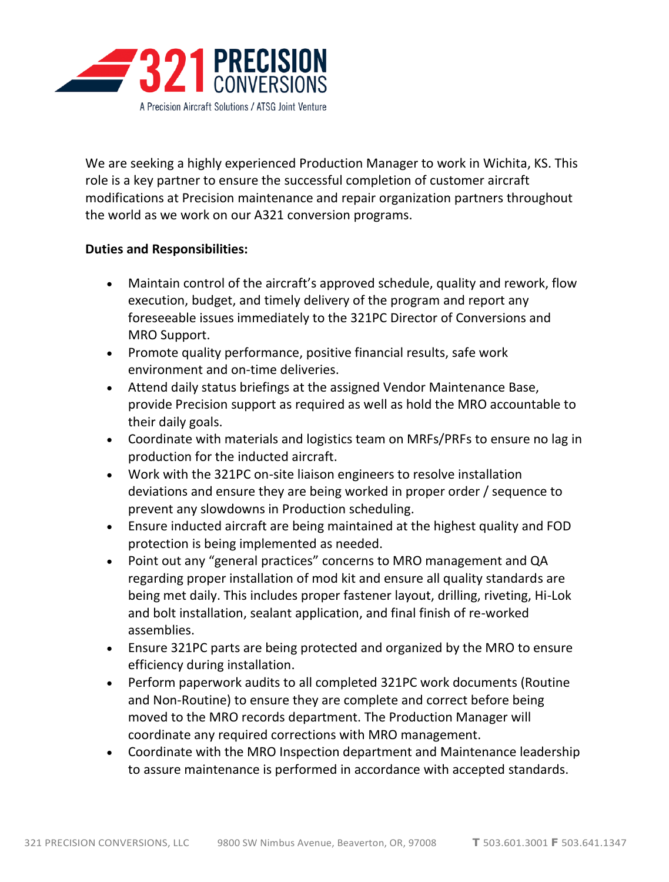

We are seeking a highly experienced Production Manager to work in Wichita, KS. This role is a key partner to ensure the successful completion of customer aircraft modifications at Precision maintenance and repair organization partners throughout the world as we work on our A321 conversion programs.

## **Duties and Responsibilities:**

- Maintain control of the aircraft's approved schedule, quality and rework, flow execution, budget, and timely delivery of the program and report any foreseeable issues immediately to the 321PC Director of Conversions and MRO Support.
- Promote quality performance, positive financial results, safe work environment and on-time deliveries.
- Attend daily status briefings at the assigned Vendor Maintenance Base, provide Precision support as required as well as hold the MRO accountable to their daily goals.
- Coordinate with materials and logistics team on MRFs/PRFs to ensure no lag in production for the inducted aircraft.
- Work with the 321PC on-site liaison engineers to resolve installation deviations and ensure they are being worked in proper order / sequence to prevent any slowdowns in Production scheduling.
- Ensure inducted aircraft are being maintained at the highest quality and FOD protection is being implemented as needed.
- Point out any "general practices" concerns to MRO management and QA regarding proper installation of mod kit and ensure all quality standards are being met daily. This includes proper fastener layout, drilling, riveting, Hi-Lok and bolt installation, sealant application, and final finish of re-worked assemblies.
- Ensure 321PC parts are being protected and organized by the MRO to ensure efficiency during installation.
- Perform paperwork audits to all completed 321PC work documents (Routine and Non-Routine) to ensure they are complete and correct before being moved to the MRO records department. The Production Manager will coordinate any required corrections with MRO management.
- Coordinate with the MRO Inspection department and Maintenance leadership to assure maintenance is performed in accordance with accepted standards.